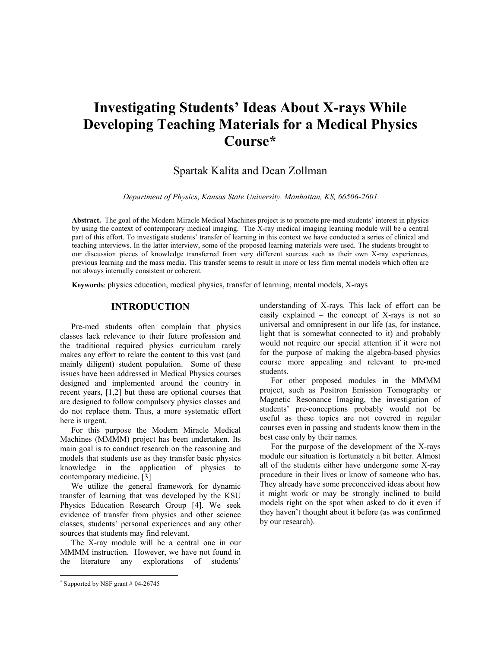# Investigating Students' Ideas About X-rays While Developing Teaching Materials for a Medical Physics Course\*

## Spartak Kalita and Dean Zollman

Department of Physics, Kansas State University, Manhattan, KS, 66506-2601

Abstract. The goal of the Modern Miracle Medical Machines project is to promote pre-med students' interest in physics by using the context of contemporary medical imaging. The X-ray medical imaging learning module will be a central part of this effort. To investigate students' transfer of learning in this context we have conducted a series of clinical and teaching interviews. In the latter interview, some of the proposed learning materials were used. The students brought to our discussion pieces of knowledge transferred from very different sources such as their own X-ray experiences, previous learning and the mass media. This transfer seems to result in more or less firm mental models which often are not always internally consistent or coherent.

Keywords: physics education, medical physics, transfer of learning, mental models, X-rays

#### INTRODUCTION

Pre-med students often complain that physics classes lack relevance to their future profession and the traditional required physics curriculum rarely makes any effort to relate the content to this vast (and mainly diligent) student population. Some of these issues have been addressed in Medical Physics courses designed and implemented around the country in recent years, [1,2] but these are optional courses that are designed to follow compulsory physics classes and do not replace them. Thus, a more systematic effort here is urgent.

For this purpose the Modern Miracle Medical Machines (MMMM) project has been undertaken. Its main goal is to conduct research on the reasoning and models that students use as they transfer basic physics knowledge in the application of physics to contemporary medicine. [3]

We utilize the general framework for dynamic transfer of learning that was developed by the KSU Physics Education Research Group [4]. We seek evidence of transfer from physics and other science classes, students' personal experiences and any other sources that students may find relevant.

The X-ray module will be a central one in our MMMM instruction. However, we have not found in the literature any explorations of students'

understanding of X-rays. This lack of effort can be easily explained – the concept of X-rays is not so universal and omnipresent in our life (as, for instance, light that is somewhat connected to it) and probably would not require our special attention if it were not for the purpose of making the algebra-based physics course more appealing and relevant to pre-med students.

For other proposed modules in the MMMM project, such as Positron Emission Tomography or Magnetic Resonance Imaging, the investigation of students' pre-conceptions probably would not be useful as these topics are not covered in regular courses even in passing and students know them in the best case only by their names.

For the purpose of the development of the X-rays module our situation is fortunately a bit better. Almost all of the students either have undergone some X-ray procedure in their lives or know of someone who has. They already have some preconceived ideas about how it might work or may be strongly inclined to build models right on the spot when asked to do it even if they haven't thought about it before (as was confirmed by our research).

<sup>-&</sup>lt;br>\* Supported by NSF grant # 04-26745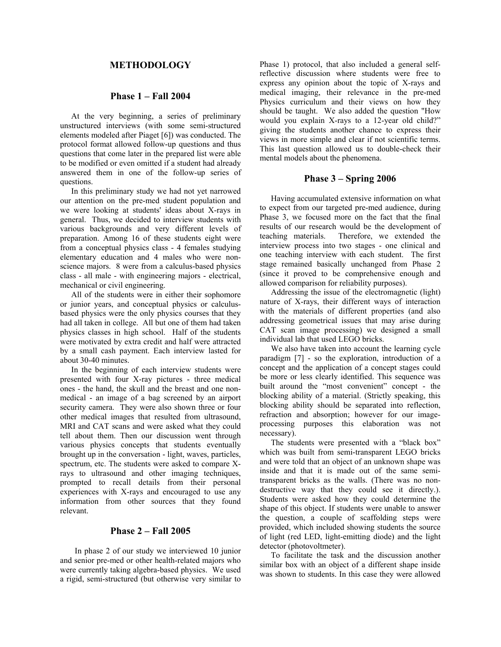#### METHODOLOGY

## Phase 1 – Fall 2004

At the very beginning, a series of preliminary unstructured interviews (with some semi-structured elements modeled after Piaget [6]) was conducted. The protocol format allowed follow-up questions and thus questions that come later in the prepared list were able to be modified or even omitted if a student had already answered them in one of the follow-up series of questions.

In this preliminary study we had not yet narrowed our attention on the pre-med student population and we were looking at students' ideas about X-rays in general. Thus, we decided to interview students with various backgrounds and very different levels of preparation. Among 16 of these students eight were from a conceptual physics class - 4 females studying elementary education and 4 males who were nonscience majors. 8 were from a calculus-based physics class - all male - with engineering majors - electrical, mechanical or civil engineering.

All of the students were in either their sophomore or junior years, and conceptual physics or calculusbased physics were the only physics courses that they had all taken in college. All but one of them had taken physics classes in high school. Half of the students were motivated by extra credit and half were attracted by a small cash payment. Each interview lasted for about 30-40 minutes.

In the beginning of each interview students were presented with four X-ray pictures - three medical ones - the hand, the skull and the breast and one nonmedical - an image of a bag screened by an airport security camera. They were also shown three or four other medical images that resulted from ultrasound, MRI and CAT scans and were asked what they could tell about them. Then our discussion went through various physics concepts that students eventually brought up in the conversation - light, waves, particles, spectrum, etc. The students were asked to compare Xrays to ultrasound and other imaging techniques, prompted to recall details from their personal experiences with X-rays and encouraged to use any information from other sources that they found relevant.

#### Phase 2 – Fall 2005

In phase 2 of our study we interviewed 10 junior and senior pre-med or other health-related majors who were currently taking algebra-based physics. We used a rigid, semi-structured (but otherwise very similar to

Phase 1) protocol, that also included a general selfreflective discussion where students were free to express any opinion about the topic of X-rays and medical imaging, their relevance in the pre-med Physics curriculum and their views on how they should be taught. We also added the question "How would you explain X-rays to a 12-year old child?" giving the students another chance to express their views in more simple and clear if not scientific terms. This last question allowed us to double-check their mental models about the phenomena.

#### Phase 3 – Spring 2006

Having accumulated extensive information on what to expect from our targeted pre-med audience, during Phase 3, we focused more on the fact that the final results of our research would be the development of teaching materials. Therefore, we extended the interview process into two stages - one clinical and one teaching interview with each student. The first stage remained basically unchanged from Phase 2 (since it proved to be comprehensive enough and allowed comparison for reliability purposes).

Addressing the issue of the electromagnetic (light) nature of X-rays, their different ways of interaction with the materials of different properties (and also addressing geometrical issues that may arise during CAT scan image processing) we designed a small individual lab that used LEGO bricks.

We also have taken into account the learning cycle paradigm [7] - so the exploration, introduction of a concept and the application of a concept stages could be more or less clearly identified. This sequence was built around the "most convenient" concept - the blocking ability of a material. (Strictly speaking, this blocking ability should be separated into reflection, refraction and absorption; however for our imageprocessing purposes this elaboration was not necessary).

The students were presented with a "black box" which was built from semi-transparent LEGO bricks and were told that an object of an unknown shape was inside and that it is made out of the same semitransparent bricks as the walls. (There was no nondestructive way that they could see it directly.). Students were asked how they could determine the shape of this object. If students were unable to answer the question, a couple of scaffolding steps were provided, which included showing students the source of light (red LED, light-emitting diode) and the light detector (photovoltmeter).

To facilitate the task and the discussion another similar box with an object of a different shape inside was shown to students. In this case they were allowed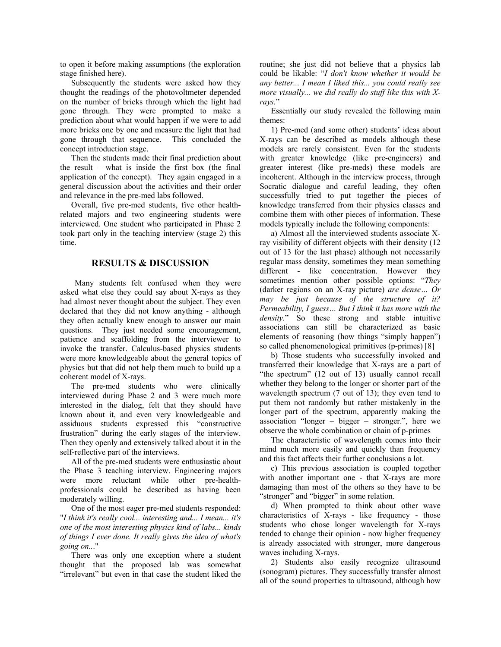to open it before making assumptions (the exploration stage finished here).

Subsequently the students were asked how they thought the readings of the photovoltmeter depended on the number of bricks through which the light had gone through. They were prompted to make a prediction about what would happen if we were to add more bricks one by one and measure the light that had gone through that sequence. This concluded the concept introduction stage.

Then the students made their final prediction about the result – what is inside the first box (the final application of the concept). They again engaged in a general discussion about the activities and their order and relevance in the pre-med labs followed.

Overall, five pre-med students, five other healthrelated majors and two engineering students were interviewed. One student who participated in Phase 2 took part only in the teaching interview (stage 2) this time.

#### RESULTS & DISCUSSION

Many students felt confused when they were asked what else they could say about X-rays as they had almost never thought about the subject. They even declared that they did not know anything - although they often actually knew enough to answer our main questions. They just needed some encouragement, patience and scaffolding from the interviewer to invoke the transfer. Calculus-based physics students were more knowledgeable about the general topics of physics but that did not help them much to build up a coherent model of X-rays.

The pre-med students who were clinically interviewed during Phase 2 and 3 were much more interested in the dialog, felt that they should have known about it, and even very knowledgeable and assiduous students expressed this "constructive frustration" during the early stages of the interview. Then they openly and extensively talked about it in the self-reflective part of the interviews.

All of the pre-med students were enthusiastic about the Phase 3 teaching interview. Engineering majors were more reluctant while other pre-healthprofessionals could be described as having been moderately willing.

One of the most eager pre-med students responded: "I think it's really cool... interesting and... I mean... it's one of the most interesting physics kind of labs... kinds of things I ever done. It really gives the idea of what's going on..."

There was only one exception where a student thought that the proposed lab was somewhat "irrelevant" but even in that case the student liked the routine; she just did not believe that a physics lab could be likable: "I don't know whether it would be any better... I mean I liked this... you could really see more visually... we did really do stuff like this with Xrays."

Essentially our study revealed the following main themes:

1) Pre-med (and some other) students' ideas about X-rays can be described as models although these models are rarely consistent. Even for the students with greater knowledge (like pre-engineers) and greater interest (like pre-meds) these models are incoherent. Although in the interview process, through Socratic dialogue and careful leading, they often successfully tried to put together the pieces of knowledge transferred from their physics classes and combine them with other pieces of information. These models typically include the following components:

a) Almost all the interviewed students associate Xray visibility of different objects with their density (12 out of 13 for the last phase) although not necessarily regular mass density, sometimes they mean something different - like concentration. However they sometimes mention other possible options: "They (darker regions on an X-ray picture) are dense… Or may be just because of the structure of it? Permeability, I guess… But I think it has more with the density." So these strong and stable intuitive associations can still be characterized as basic elements of reasoning (how things "simply happen") so called phenomenological primitives (p-primes) [8]

b) Those students who successfully invoked and transferred their knowledge that X-rays are a part of "the spectrum" (12 out of 13) usually cannot recall whether they belong to the longer or shorter part of the wavelength spectrum (7 out of 13); they even tend to put them not randomly but rather mistakenly in the longer part of the spectrum, apparently making the association "longer – bigger – stronger.", here we observe the whole combination or chain of p-primes

The characteristic of wavelength comes into their mind much more easily and quickly than frequency and this fact affects their further conclusions a lot.

c) This previous association is coupled together with another important one - that X-rays are more damaging than most of the others so they have to be "stronger" and "bigger" in some relation.

d) When prompted to think about other wave characteristics of X-rays - like frequency - those students who chose longer wavelength for X-rays tended to change their opinion - now higher frequency is already associated with stronger, more dangerous waves including X-rays.

2) Students also easily recognize ultrasound (sonogram) pictures. They successfully transfer almost all of the sound properties to ultrasound, although how